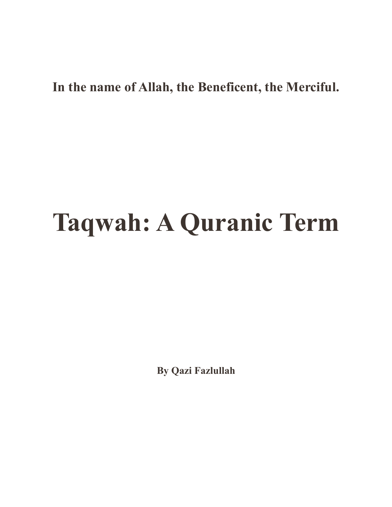## **In the name of Allah, the Beneficent, the Merciful.**

## **Taqwah: A Quranic Term**

**By Qazi Fazlullah**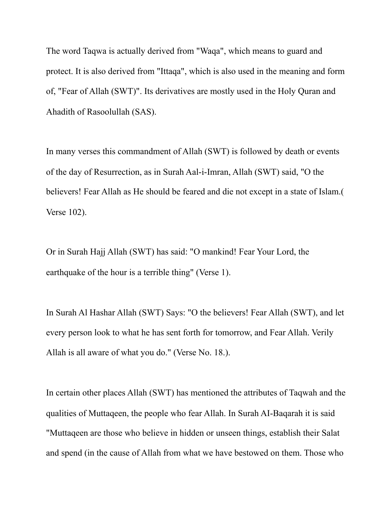The word Taqwa is actually derived from "Waqa", which means to guard and protect. It is also derived from "Ittaqa", which is also used in the meaning and form of, "Fear of Allah (SWT)". Its derivatives are mostly used in the Holy Quran and Ahadith of Rasoolullah (SAS).

In many verses this commandment of Allah (SWT) is followed by death or events of the day of Resurrection, as in Surah Aal-i-Imran, Allah (SWT) said, "O the believers! Fear Allah as He should be feared and die not except in a state of Islam.( Verse 102).

Or in Surah Hajj Allah (SWT) has said: "O mankind! Fear Your Lord, the earthquake of the hour is a terrible thing" (Verse 1).

In Surah Al Hashar Allah (SWT) Says: "O the believers! Fear Allah (SWT), and let every person look to what he has sent forth for tomorrow, and Fear Allah. Verily Allah is all aware of what you do." (Verse No. 18.).

In certain other places Allah (SWT) has mentioned the attributes of Taqwah and the qualities of Muttaqeen, the people who fear Allah. In Surah AI-Baqarah it is said "Muttaqeen are those who believe in hidden or unseen things, establish their Salat and spend (in the cause of Allah from what we have bestowed on them. Those who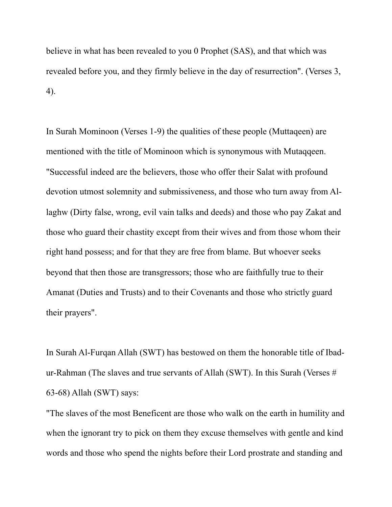believe in what has been revealed to you 0 Prophet (SAS), and that which was revealed before you, and they firmly believe in the day of resurrection". (Verses 3, 4).

In Surah Mominoon (Verses 1-9) the qualities of these people (Muttaqeen) are mentioned with the title of Mominoon which is synonymous with Mutaqqeen. "Successful indeed are the believers, those who offer their Salat with profound devotion utmost solemnity and submissiveness, and those who turn away from Allaghw (Dirty false, wrong, evil vain talks and deeds) and those who pay Zakat and those who guard their chastity except from their wives and from those whom their right hand possess; and for that they are free from blame. But whoever seeks beyond that then those are transgressors; those who are faithfully true to their Amanat (Duties and Trusts) and to their Covenants and those who strictly guard their prayers".

In Surah Al-Furqan Allah (SWT) has bestowed on them the honorable title of Ibadur-Rahman (The slaves and true servants of Allah (SWT). In this Surah (Verses # 63-68) Allah (SWT) says:

"The slaves of the most Beneficent are those who walk on the earth in humility and when the ignorant try to pick on them they excuse themselves with gentle and kind words and those who spend the nights before their Lord prostrate and standing and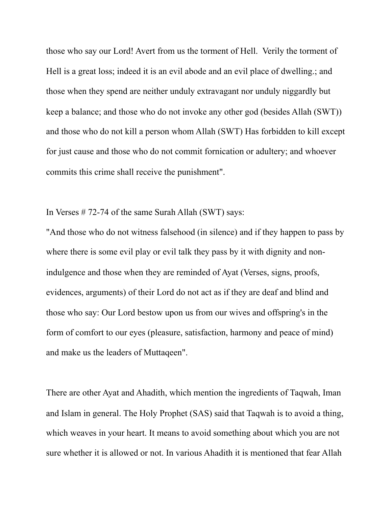those who say our Lord! Avert from us the torment of Hell. Verily the torment of Hell is a great loss; indeed it is an evil abode and an evil place of dwelling.; and those when they spend are neither unduly extravagant nor unduly niggardly but keep a balance; and those who do not invoke any other god (besides Allah (SWT)) and those who do not kill a person whom Allah (SWT) Has forbidden to kill except for just cause and those who do not commit fornication or adultery; and whoever commits this crime shall receive the punishment".

In Verses # 72-74 of the same Surah Allah (SWT) says:

"And those who do not witness falsehood (in silence) and if they happen to pass by where there is some evil play or evil talk they pass by it with dignity and nonindulgence and those when they are reminded of Ayat (Verses, signs, proofs, evidences, arguments) of their Lord do not act as if they are deaf and blind and those who say: Our Lord bestow upon us from our wives and offspring's in the form of comfort to our eyes (pleasure, satisfaction, harmony and peace of mind) and make us the leaders of Muttaqeen".

There are other Ayat and Ahadith, which mention the ingredients of Taqwah, Iman and Islam in general. The Holy Prophet (SAS) said that Taqwah is to avoid a thing, which weaves in your heart. It means to avoid something about which you are not sure whether it is allowed or not. In various Ahadith it is mentioned that fear Allah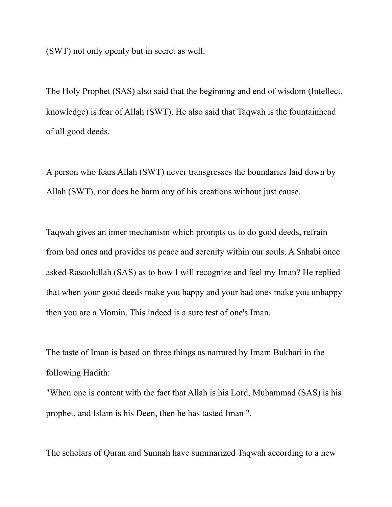(SWT) not only openly but in secret as well.

The Holy Prophet (SAS) also said that the beginning and end of wisdom (Intellect, knowledge) is fear of Allah (SWT). He also said that Taqwah is the fountainhead of all good deeds.

A person who fears Allah (SWT) never transgresses the boundaries laid down by Allah (SWT), nor does he harm any of his creations without just cause.

Taqwah gives an inner mechanism which prompts us to do good deeds, refrain from bad ones and provides us peace and serenity within our souls. A Sahabi once asked Rasoolullah (SAS) as to how I will recognize and feel my Iman? He replied that when your good deeds make you happy and your bad ones make you unhappy then you are a Momin. This indeed is a sure test of one's Iman.

The taste of Iman is based on three things as narrated by Imam Bukhari in the following Hadith:

"When one is content with the fact that Allah is his Lord, Muhammad (SAS) is his prophet, and Islam is his Deen, then he has tasted Iman ".

The scholars of Quran and Sunnah have summarized Taqwah according to a new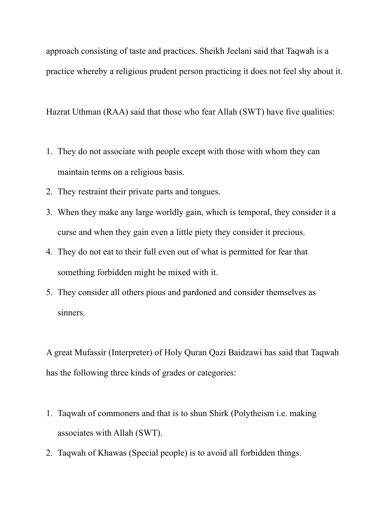approach consisting of taste and practices. Sheikh Jeelani said that Taqwah is a practice whereby a religious prudent person practicing it does not feel shy about it.

Hazrat Uthman (RAA) said that those who fear Allah (SWT) have five qualities:

- 1. They do not associate with people except with those with whom they can maintain terms on a religious basis.
- 2. They restraint their private parts and tongues.
- 3. When they make any large worldly gain, which is temporal, they consider it a curse and when they gain even a little piety they consider it precious.
- 4. They do not eat to their full even out of what is permitted for fear that something forbidden might be mixed with it.
- 5. They consider all others pious and pardoned and consider themselves as sinners.

A great Mufassir (Interpreter) of Holy Quran Qazi Baidzawi has said that Taqwah has the following three kinds of grades or categories:

- 1. Taqwah of commoners and that is to shun Shirk (Polytheism i.e. making associates with Allah (SWT).
- 2. Taqwah of Khawas (Special people) is to avoid all forbidden things.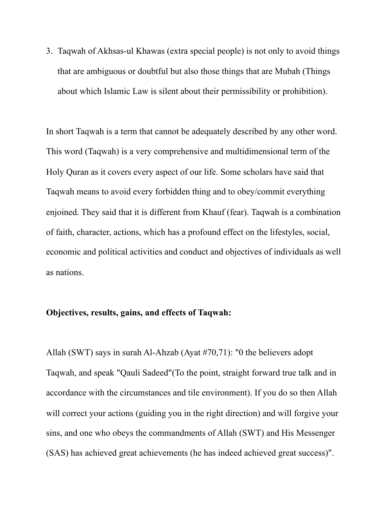3. Taqwah of Akhsas-ul Khawas (extra special people) is not only to avoid things that are ambiguous or doubtful but also those things that are Mubah (Things about which Islamic Law is silent about their permissibility or prohibition).

In short Taqwah is a term that cannot be adequately described by any other word. This word (Taqwah) is a very comprehensive and multidimensional term of the Holy Quran as it covers every aspect of our life. Some scholars have said that Taqwah means to avoid every forbidden thing and to obey/commit everything enjoined. They said that it is different from Khauf (fear). Taqwah is a combination of faith, character, actions, which has a profound effect on the lifestyles, social, economic and political activities and conduct and objectives of individuals as well as nations.

## **Objectives, results, gains, and effects of Taqwah:**

Allah (SWT) says in surah Al-Ahzab (Ayat #70,71): "0 the believers adopt Taqwah, and speak "Qauli Sadeed"(To the point, straight forward true talk and in accordance with the circumstances and tile environment). If you do so then Allah will correct your actions (guiding you in the right direction) and will forgive your sins, and one who obeys the commandments of Allah (SWT) and His Messenger (SAS) has achieved great achievements (he has indeed achieved great success)".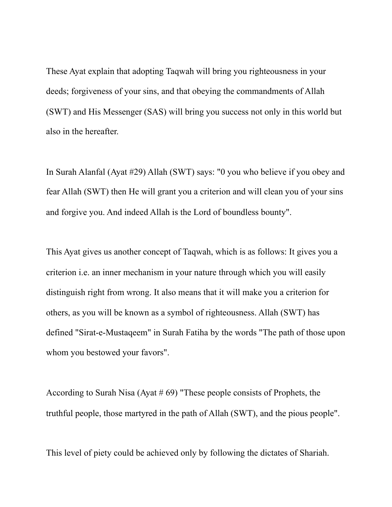These Ayat explain that adopting Taqwah will bring you righteousness in your deeds; forgiveness of your sins, and that obeying the commandments of Allah (SWT) and His Messenger (SAS) will bring you success not only in this world but also in the hereafter.

In Surah Alanfal (Ayat #29) Allah (SWT) says: "0 you who believe if you obey and fear Allah (SWT) then He will grant you a criterion and will clean you of your sins and forgive you. And indeed Allah is the Lord of boundless bounty".

This Ayat gives us another concept of Taqwah, which is as follows: It gives you a criterion i.e. an inner mechanism in your nature through which you will easily distinguish right from wrong. It also means that it will make you a criterion for others, as you will be known as a symbol of righteousness. Allah (SWT) has defined "Sirat-e-Mustaqeem" in Surah Fatiha by the words "The path of those upon whom you bestowed your favors".

According to Surah Nisa (Ayat  $# 69$ ) "These people consists of Prophets, the truthful people, those martyred in the path of Allah (SWT), and the pious people".

This level of piety could be achieved only by following the dictates of Shariah.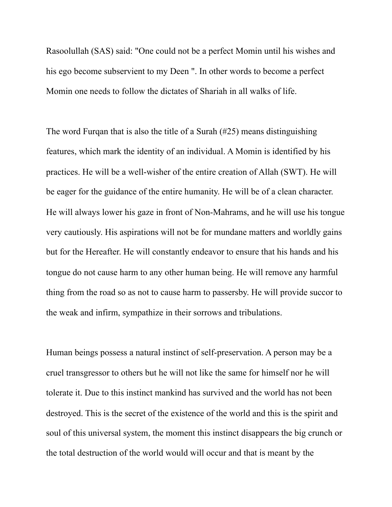Rasoolullah (SAS) said: "One could not be a perfect Momin until his wishes and his ego become subservient to my Deen ". In other words to become a perfect Momin one needs to follow the dictates of Shariah in all walks of life.

The word Furqan that is also the title of a Surah (#25) means distinguishing features, which mark the identity of an individual. A Momin is identified by his practices. He will be a well-wisher of the entire creation of Allah (SWT). He will be eager for the guidance of the entire humanity. He will be of a clean character. He will always lower his gaze in front of Non-Mahrams, and he will use his tongue very cautiously. His aspirations will not be for mundane matters and worldly gains but for the Hereafter. He will constantly endeavor to ensure that his hands and his tongue do not cause harm to any other human being. He will remove any harmful thing from the road so as not to cause harm to passersby. He will provide succor to the weak and infirm, sympathize in their sorrows and tribulations.

Human beings possess a natural instinct of self-preservation. A person may be a cruel transgressor to others but he will not like the same for himself nor he will tolerate it. Due to this instinct mankind has survived and the world has not been destroyed. This is the secret of the existence of the world and this is the spirit and soul of this universal system, the moment this instinct disappears the big crunch or the total destruction of the world would will occur and that is meant by the